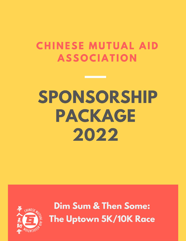# **CHINESE MUTUAL AID ASSOCIATION**

# SPONSORSHIP PACKAGE 2022



**Dim Sum & Then Some:** The Uptown 5K/10K Race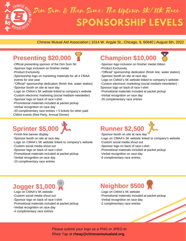

#### Chinese Mutual Aid Association | 1014 W. Argyle St., Chicago, IL 60640 | August 6th, 2022

#### **Presenting \$20,000**



- -Official presenting sponsor of the Dim Sum 5K
- -Sponsor logo inclusion on finisher medal
- -Product Exclusivity
- -Sponsorship logo on marketing materials for all 4 CMAA events for one year
- -"Official" sponsorship dedication (finish line, water station)
- -Sponsor booth on site at race day
- -Logo on CMAA's 5K website linked to company's website -Custom electronic marketing (social media/e-newsletter)
- -Sponsor logo on back of race t-shirt
- -Promotional materials included at packet pickup
- -Verbal recognition on race day
- -20 complimentary race entries + 5 tickets for other paid CMAA events (Red Party, Annual Dinner)

## **Sprinter \$5,000**

- -Finish line banner display
- -Sponsor booth on site at race day
- -Logo on CMAA's 5K website linked to company's website
- -Custom social media shout out
- -Sponsor logo on back of race t-shirt
- -Promotional materials included at packet pickup
- -Verbal recognition on race day
- -10 complimentary race entries



- -Sponsor logo inclusion on finisher medal ribbon -Product Exclusivity
- -"Official" sponsorship dedication (finish line, water station)
- -Sponsor booth on site at race day
- -Logo on CMAA's 5K website linked to company's website -Custom electronic marketing (social media/e-newsletter) -
- Sponsor logo on back of race t-shirt
- -Promotional materials included at packet pickup
- -Verbal recognition on race day
- -20 complimentary race entries



-Sponsor booth on site at race day

- -Logo on CMAA's 5K website linked to company's website -Custom social media shout out
- -Sponsor logo on back of race t-shirt
- -Promotional materials included at packet pickup
- -Verbal recognition on race day
- -6 complimentary race entries

#### **Jogger \$1,000**

- -Logo on CMAA's 5K website -Custom social media shout out -Sponsor logo on back of race t-shirt -Promotional materials included at packet pickup
- -Verbal recognition on race day
- -4 complimentary race entries

### **Neighbor \$500**

-Logo on CMAA's 5K website -Promotional materials included at packet pickup -Verbal recognition on race day -2 complimentary race entries

Please submit your logo as a PNG or JPEG to Rhea Yap at **rheay@chinesemutualaid.org.**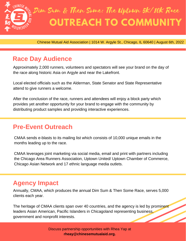

Chinese Mutual Aid Association | 1014 W. Argyle St., Chicago, IL 60640 | August 6th, 2022

#### **Race Day Audience**

Approximately 2,000 runners, volunteers and spectators will see your brand on the day of the race along historic Asia on Argyle and near the Lakefront.

Local elected officials such as the Alderman, State Senator and State Representative attend to give runners a welcome.

After the conclusion of the race, runners and attendees will enjoy a block party which provides yet another opportunity for your brand to engage with the community by distributing product samples and providing interactive experiences.

#### **Pre-Event Outreach**

CMAA sends e-blasts to its mailing list which consists of 10,000 unique emails in the months leading up to the race.

CMAA leverages joint marketing via social media, email and print with partners including the Chicago Area Runners Association, Uptown United/ Uptown Chamber of Commerce, Chicago Asian Network and 17 ethnic language media outlets.

#### **Agency Impact**

Annually, CMAA, which produces the annual Dim Sum & Then Some Race, serves 5,000 clients each year.

The heritage of CMAA clients span over 40 countries, and the agency is led by prominent leaders Asian American, Pacific Islanders in Chicagoland representing business, government and nonprofit interests.

> Discuss partnership opportunities with Rhea Yap at **rheay@chinesemutualaid.org.**